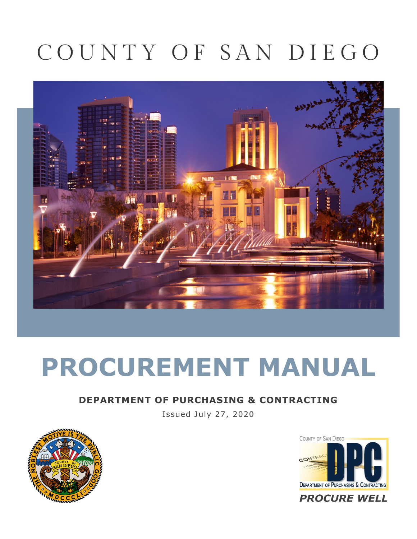## COUNTY OF SAN DIEGO



# **PROCUREMENT MANUAL**

#### **DEPARTMENT OF PURCHASING & CONTRACTING**

Issued July 27, 2020



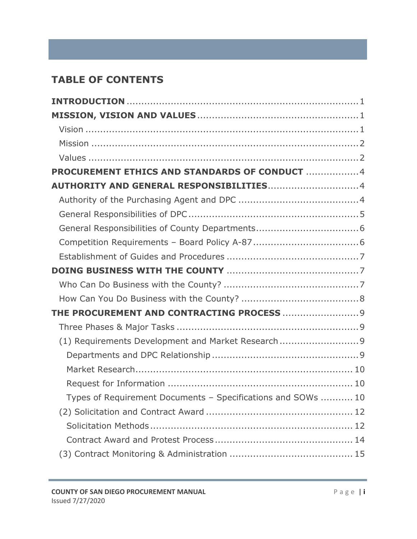## **TABLE OF CONTENTS**

| PROCUREMENT ETHICS AND STANDARDS OF CONDUCT 4                |  |
|--------------------------------------------------------------|--|
|                                                              |  |
|                                                              |  |
|                                                              |  |
|                                                              |  |
|                                                              |  |
|                                                              |  |
|                                                              |  |
|                                                              |  |
|                                                              |  |
| THE PROCUREMENT AND CONTRACTING PROCESS  9                   |  |
|                                                              |  |
| (1) Requirements Development and Market Research 9           |  |
|                                                              |  |
|                                                              |  |
|                                                              |  |
| Types of Requirement Documents - Specifications and SOWs  10 |  |
|                                                              |  |
|                                                              |  |
|                                                              |  |
|                                                              |  |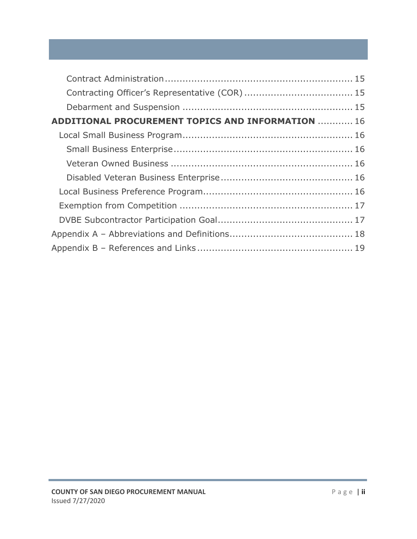| <b>ADDITIONAL PROCUREMENT TOPICS AND INFORMATION  16</b> |  |
|----------------------------------------------------------|--|
|                                                          |  |
|                                                          |  |
|                                                          |  |
|                                                          |  |
|                                                          |  |
|                                                          |  |
|                                                          |  |
|                                                          |  |
|                                                          |  |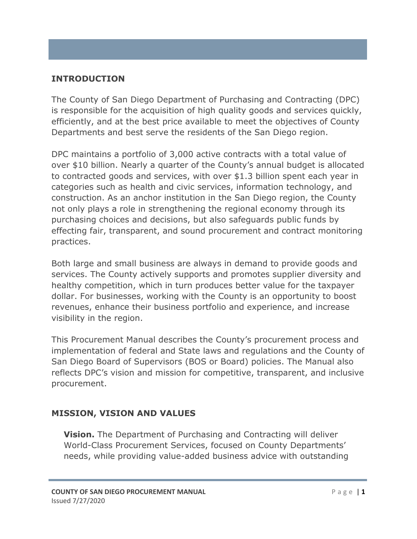#### <span id="page-3-0"></span>**INTRODUCTION**

The County of San Diego Department of Purchasing and Contracting (DPC) is responsible for the acquisition of high quality goods and services quickly, efficiently, and at the best price available to meet the objectives of County Departments and best serve the residents of the San Diego region.

DPC maintains a portfolio of 3,000 active contracts with a total value of over \$10 billion. Nearly a quarter of the County's annual budget is allocated to contracted goods and services, with over \$1.3 billion spent each year in categories such as health and civic services, information technology, and construction. As an anchor institution in the San Diego region, the County not only plays a role in strengthening the regional economy through its purchasing choices and decisions, but also safeguards public funds by effecting fair, transparent, and sound procurement and contract monitoring practices.

Both large and small business are always in demand to provide goods and services. The County actively supports and promotes supplier diversity and healthy competition, which in turn produces better value for the taxpayer dollar. For businesses, working with the County is an opportunity to boost revenues, enhance their business portfolio and experience, and increase visibility in the region.

This Procurement Manual describes the County's procurement process and implementation of federal and State laws and regulations and the County of San Diego Board of Supervisors (BOS or Board) policies. The Manual also reflects DPC's vision and mission for competitive, transparent, and inclusive procurement.

#### <span id="page-3-1"></span>**MISSION, VISION AND VALUES**

<span id="page-3-2"></span>**Vision.** The Department of Purchasing and Contracting will deliver World-Class Procurement Services, focused on County Departments' needs, while providing value-added business advice with outstanding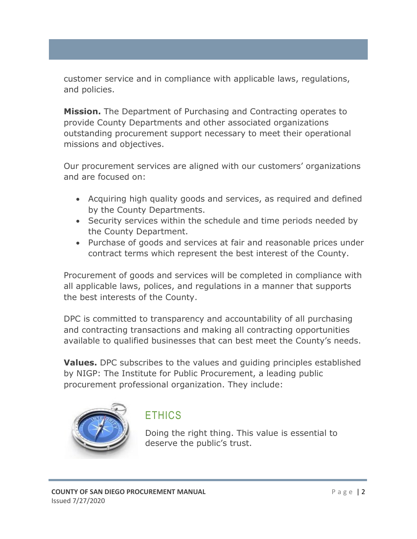customer service and in compliance with applicable laws, regulations, and policies.

<span id="page-4-0"></span>**Mission.** The Department of Purchasing and Contracting operates to provide County Departments and other associated organizations outstanding procurement support necessary to meet their operational missions and objectives.

Our procurement services are aligned with our customers' organizations and are focused on:

- Acquiring high quality goods and services, as required and defined by the County Departments.
- Security services within the schedule and time periods needed by the County Department.
- Purchase of goods and services at fair and reasonable prices under contract terms which represent the best interest of the County.

Procurement of goods and services will be completed in compliance with all applicable laws, polices, and regulations in a manner that supports the best interests of the County.

DPC is committed to transparency and accountability of all purchasing and contracting transactions and making all contracting opportunities available to qualified businesses that can best meet the County's needs.

<span id="page-4-1"></span>**Values.** DPC subscribes to the values and guiding principles established by NIGP: The Institute for Public Procurement, a leading public procurement professional organization. They include:



## **ETHICS**

Doing the right thing. This value is essential to deserve the public's trust.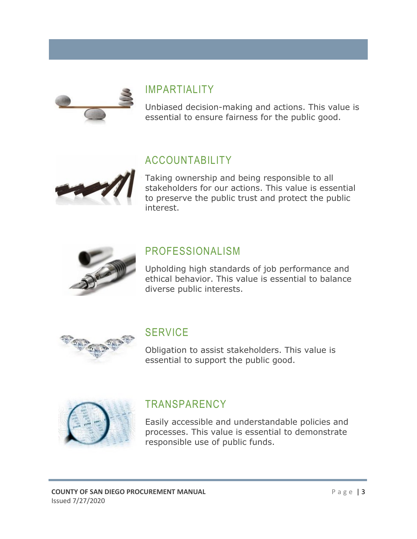

## IMPARTIALITY

Unbiased decision-making and actions. This value is essential to ensure fairness for the public good.

## ACCOUNTABILITY



Taking ownership and being responsible to all stakeholders for our actions. This value is essential to preserve the public trust and protect the public interest.



## PROFESSIONALISM

Upholding high standards of job performance and ethical behavior. This value is essential to balance diverse public interests.



## **SERVICE**

Obligation to assist stakeholders. This value is essential to support the public good.



## **TRANSPARENCY**

Easily accessible and understandable policies and processes. This value is essential to demonstrate responsible use of public funds.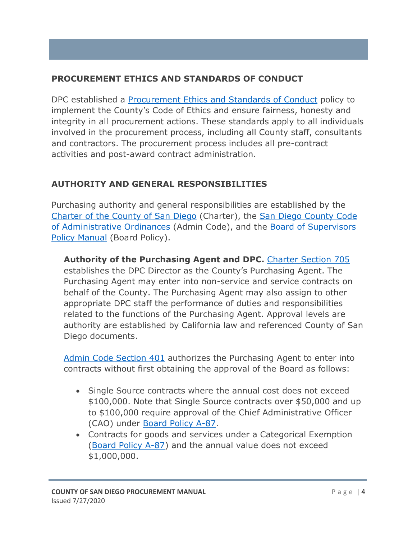#### <span id="page-6-0"></span>**PROCUREMENT ETHICS AND STANDARDS OF CONDUCT**

DPC established a [Procurement Ethics and Standards of Conduct](https://www.sandiegocounty.gov/content/dam/sdc/purchasing/docs/dpc_procurement_ethics_and_standards_of_conduct.pdf) policy to implement the County's Code of Ethics and ensure fairness, honesty and integrity in all procurement actions. These standards apply to all individuals involved in the procurement process, including all County staff, consultants and contractors. The procurement process includes all pre-contract activities and post-award contract administration.

#### <span id="page-6-1"></span>**AUTHORITY AND GENERAL RESPONSIBILITIES**

Purchasing authority and general responsibilities are established by the [Charter of the County of San Diego](https://www.sandiegocounty.gov/cob/docs/charter.pdf) (Charter), the [San Diego County Code](http://library.amlegal.com/nxt/gateway.dll?f=templates&fn=default.htm&vid=amlegal:sandiegoco_ca_mc)  [of Administrative Ordinances](http://library.amlegal.com/nxt/gateway.dll?f=templates&fn=default.htm&vid=amlegal:sandiegoco_ca_mc) (Admin Code), and the [Board of Supervisors](https://www.sandiegocounty.gov/cob/policy/)  [Policy Manual](https://www.sandiegocounty.gov/cob/policy/) (Board Policy).

<span id="page-6-2"></span>**Authority of the Purchasing Agent and DPC.** [Charter Section 705](https://www.sandiegocounty.gov/cob/docs/charter.pdf) establishes the DPC Director as the County's Purchasing Agent. The Purchasing Agent may enter into non-service and service contracts on behalf of the County. The Purchasing Agent may also assign to other appropriate DPC staff the performance of duties and responsibilities related to the functions of the Purchasing Agent. Approval levels are authority are established by California law and referenced County of San Diego documents.

[Admin Code Section 401](http://library.amlegal.com/nxt/gateway.dll/California/sanadmin/articlexxiiidepartmentofpurchasingandcon?f=templates$fn=default.htm$3.0$vid=amlegal:sandiegoco_ca_mc) authorizes the Purchasing Agent to enter into contracts without first obtaining the approval of the Board as follows:

- Single Source contracts where the annual cost does not exceed \$100,000. Note that Single Source contracts over \$50,000 and up to \$100,000 require approval of the Chief Administrative Officer (CAO) under [Board Policy A-87.](https://www.sandiegocounty.gov/content/dam/sdc/cob/docs/policy/A-87.pdf)
- Contracts for goods and services under a Categorical Exemption [\(Board Policy A-87\)](https://www.sandiegocounty.gov/content/dam/sdc/cob/docs/policy/A-87.pdf) and the annual value does not exceed \$1,000,000.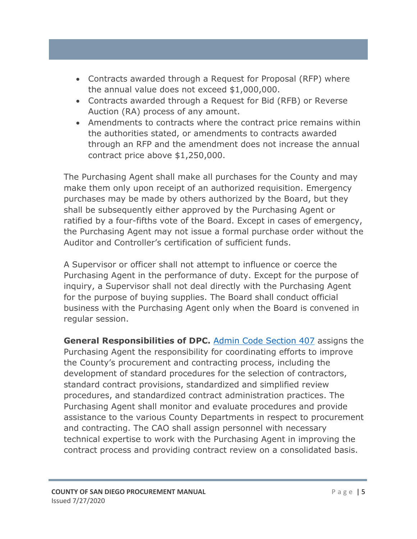- Contracts awarded through a Request for Proposal (RFP) where the annual value does not exceed \$1,000,000.
- Contracts awarded through a Request for Bid (RFB) or Reverse Auction (RA) process of any amount.
- Amendments to contracts where the contract price remains within the authorities stated, or amendments to contracts awarded through an RFP and the amendment does not increase the annual contract price above \$1,250,000.

The Purchasing Agent shall make all purchases for the County and may make them only upon receipt of an authorized requisition. Emergency purchases may be made by others authorized by the Board, but they shall be subsequently either approved by the Purchasing Agent or ratified by a four-fifths vote of the Board. Except in cases of emergency, the Purchasing Agent may not issue a formal purchase order without the Auditor and Controller's certification of sufficient funds.

A Supervisor or officer shall not attempt to influence or coerce the Purchasing Agent in the performance of duty. Except for the purpose of inquiry, a Supervisor shall not deal directly with the Purchasing Agent for the purpose of buying supplies. The Board shall conduct official business with the Purchasing Agent only when the Board is convened in regular session.

<span id="page-7-0"></span>**General Responsibilities of DPC.** [Admin Code Section 407](http://library.amlegal.com/nxt/gateway.dll/California/sanadmin/articlexxiiidepartmentofpurchasingandcon?f=templates$fn=default.htm$3.0$vid=amlegal:sandiegoco_ca_mc) assigns the Purchasing Agent the responsibility for coordinating efforts to improve the County's procurement and contracting process, including the development of standard procedures for the selection of contractors, standard contract provisions, standardized and simplified review procedures, and standardized contract administration practices. The Purchasing Agent shall monitor and evaluate procedures and provide assistance to the various County Departments in respect to procurement and contracting. The CAO shall assign personnel with necessary technical expertise to work with the Purchasing Agent in improving the contract process and providing contract review on a consolidated basis.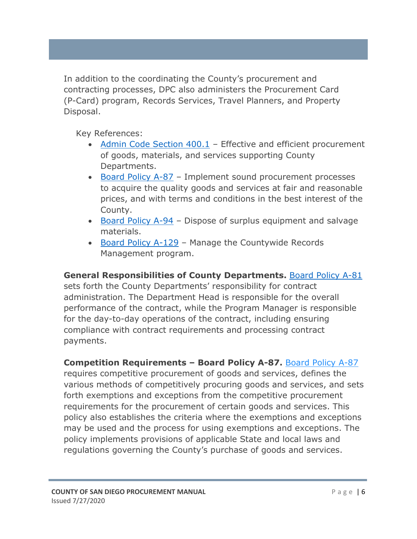In addition to the coordinating the County's procurement and contracting processes, DPC also administers the Procurement Card (P-Card) program, Records Services, Travel Planners, and Property Disposal.

Key References:

- [Admin Code Section 400.1](http://library.amlegal.com/nxt/gateway.dll/California/sanadmin/articlexxiiidepartmentofpurchasingandcon?f=templates$fn=default.htm$3.0$vid=amlegal:sandiegoco_ca_mc) Effective and efficient procurement of goods, materials, and services supporting County Departments.
- [Board Policy A-87](https://www.sandiegocounty.gov/content/dam/sdc/cob/docs/policy/A-87.pdf) Implement sound procurement processes to acquire the quality goods and services at fair and reasonable prices, and with terms and conditions in the best interest of the County.
- [Board Policy A-94](https://www.sandiegocounty.gov/content/dam/sdc/cob/docs/policy/A-94.pdf) Dispose of surplus equipment and salvage materials.
- [Board Policy A-129](https://www.sandiegocounty.gov/content/dam/sdc/cob/docs/policy/A-129.pdf) Manage the Countywide Records Management program.

#### <span id="page-8-0"></span>General Responsibilities of County Departments. **[Board Policy A-81](https://www.sandiegocounty.gov/content/dam/sdc/cob/docs/policy/A-81.pdf)**

sets forth the County Departments' responsibility for contract administration. The Department Head is responsible for the overall performance of the contract, while the Program Manager is responsible for the day-to-day operations of the contract, including ensuring compliance with contract requirements and processing contract payments.

#### <span id="page-8-1"></span>**Competition Requirements – Board Policy A-87.** [Board Policy A-87](https://www.sandiegocounty.gov/content/dam/sdc/cob/docs/policy/A-87.pdf)

requires competitive procurement of goods and services, defines the various methods of competitively procuring goods and services, and sets forth exemptions and exceptions from the competitive procurement requirements for the procurement of certain goods and services. This policy also establishes the criteria where the exemptions and exceptions may be used and the process for using exemptions and exceptions. The policy implements provisions of applicable State and local laws and regulations governing the County's purchase of goods and services.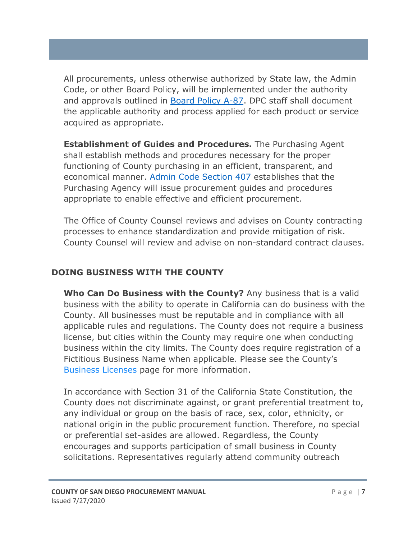All procurements, unless otherwise authorized by State law, the Admin Code, or other Board Policy, will be implemented under the authority and approvals outlined in [Board Policy A-87.](https://www.sandiegocounty.gov/content/dam/sdc/cob/docs/policy/A-87.pdf) DPC staff shall document the applicable authority and process applied for each product or service acquired as appropriate.

<span id="page-9-0"></span>**Establishment of Guides and Procedures.** The Purchasing Agent shall establish methods and procedures necessary for the proper functioning of County purchasing in an efficient, transparent, and economical manner. [Admin Code Section 407](http://library.amlegal.com/nxt/gateway.dll/California/sanadmin/articlexxiiidepartmentofpurchasingandcon?f=templates$fn=default.htm$3.0$vid=amlegal:sandiegoco_ca_mc) establishes that the Purchasing Agency will issue procurement guides and procedures appropriate to enable effective and efficient procurement.

The Office of County Counsel reviews and advises on County contracting processes to enhance standardization and provide mitigation of risk. County Counsel will review and advise on non-standard contract clauses.

#### <span id="page-9-1"></span>**DOING BUSINESS WITH THE COUNTY**

<span id="page-9-2"></span>**Who Can Do Business with the County?** Any business that is a valid business with the ability to operate in California can do business with the County. All businesses must be reputable and in compliance with all applicable rules and regulations. The County does not require a business license, but cities within the County may require one when conducting business within the city limits. The County does require registration of a Fictitious Business Name when applicable. Please see the County's [Business Licenses](https://www.sandiegocounty.gov/content/sdc/cosd/businesslicenses.html) page for more information.

In accordance with Section 31 of the California State Constitution, the County does not discriminate against, or grant preferential treatment to, any individual or group on the basis of race, sex, color, ethnicity, or national origin in the public procurement function. Therefore, no special or preferential set-asides are allowed. Regardless, the County encourages and supports participation of small business in County solicitations. Representatives regularly attend community outreach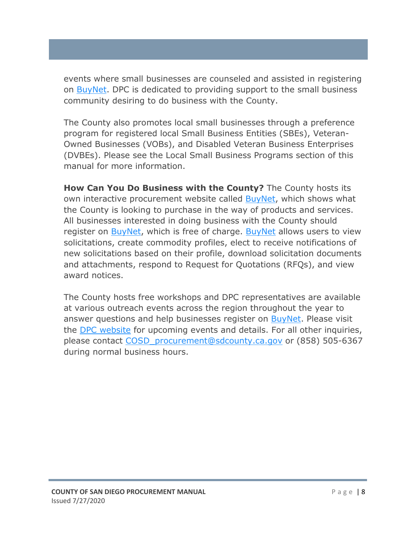events where small businesses are counseled and assisted in registering on [BuyNet.](https://buynet.sdcounty.ca.gov/) DPC is dedicated to providing support to the small business community desiring to do business with the County.

The County also promotes local small businesses through a preference program for registered local Small Business Entities (SBEs), Veteran-Owned Businesses (VOBs), and Disabled Veteran Business Enterprises (DVBEs). Please see the Local Small Business Programs section of this manual for more information.

<span id="page-10-0"></span>**How Can You Do Business with the County?** The County hosts its own interactive procurement website called [BuyNet,](https://buynet.sdcounty.ca.gov/) which shows what the County is looking to purchase in the way of products and services. All businesses interested in doing business with the County should register on **BuyNet**, which is free of charge. **BuyNet** allows users to view solicitations, create commodity profiles, elect to receive notifications of new solicitations based on their profile, download solicitation documents and attachments, respond to Request for Quotations (RFQs), and view award notices.

The County hosts free workshops and DPC representatives are available at various outreach events across the region throughout the year to answer questions and help businesses register on [BuyNet.](https://buynet.sdcounty.ca.gov/) Please visit the [DPC website](https://www.sandiegocounty.gov/purchasing/) for upcoming events and details. For all other inquiries, please contact [COSD\\_procurement@sdcounty.ca.gov](mailto:COSD_procurement@sdcounty.ca.gov) or (858) 505-6367 during normal business hours.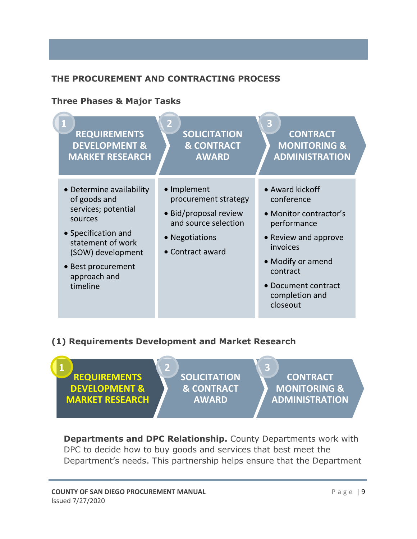#### <span id="page-11-0"></span>**THE PROCUREMENT AND CONTRACTING PROCESS**

#### <span id="page-11-1"></span>**Three Phases & Major Tasks**



#### <span id="page-11-2"></span>**(1) Requirements Development and Market Research**



<span id="page-11-3"></span>**Departments and DPC Relationship.** County Departments work with DPC to decide how to buy goods and services that best meet the Department's needs. This partnership helps ensure that the Department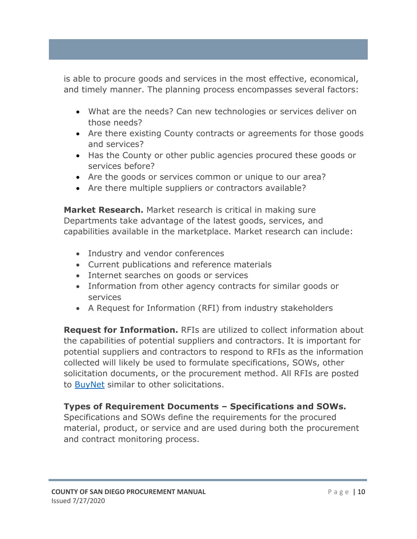is able to procure goods and services in the most effective, economical, and timely manner. The planning process encompasses several factors:

- What are the needs? Can new technologies or services deliver on those needs?
- Are there existing County contracts or agreements for those goods and services?
- Has the County or other public agencies procured these goods or services before?
- Are the goods or services common or unique to our area?
- Are there multiple suppliers or contractors available?

<span id="page-12-0"></span>**Market Research.** Market research is critical in making sure Departments take advantage of the latest goods, services, and capabilities available in the marketplace. Market research can include:

- Industry and vendor conferences
- Current publications and reference materials
- Internet searches on goods or services
- Information from other agency contracts for similar goods or services
- A Request for Information (RFI) from industry stakeholders

<span id="page-12-1"></span>**Request for Information.** RFIs are utilized to collect information about the capabilities of potential suppliers and contractors. It is important for potential suppliers and contractors to respond to RFIs as the information collected will likely be used to formulate specifications, SOWs, other solicitation documents, or the procurement method. All RFIs are posted to **BuyNet** similar to other solicitations.

#### <span id="page-12-2"></span>**Types of Requirement Documents – Specifications and SOWs.**

Specifications and SOWs define the requirements for the procured material, product, or service and are used during both the procurement and contract monitoring process.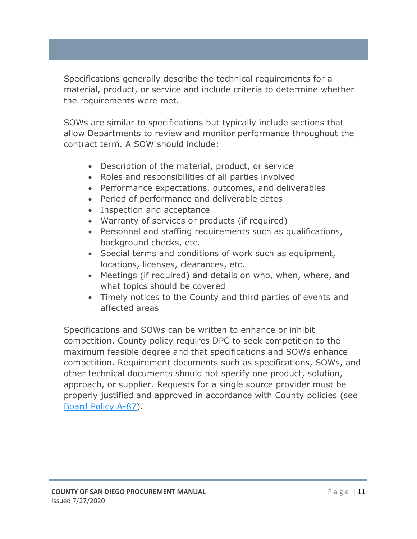Specifications generally describe the technical requirements for a material, product, or service and include criteria to determine whether the requirements were met.

SOWs are similar to specifications but typically include sections that allow Departments to review and monitor performance throughout the contract term. A SOW should include:

- Description of the material, product, or service
- Roles and responsibilities of all parties involved
- Performance expectations, outcomes, and deliverables
- Period of performance and deliverable dates
- Inspection and acceptance
- Warranty of services or products (if required)
- Personnel and staffing requirements such as qualifications, background checks, etc.
- Special terms and conditions of work such as equipment, locations, licenses, clearances, etc.
- Meetings (if required) and details on who, when, where, and what topics should be covered
- Timely notices to the County and third parties of events and affected areas

Specifications and SOWs can be written to enhance or inhibit competition. County policy requires DPC to seek competition to the maximum feasible degree and that specifications and SOWs enhance competition. Requirement documents such as specifications, SOWs, and other technical documents should not specify one product, solution, approach, or supplier. Requests for a single source provider must be properly justified and approved in accordance with County policies (see [Board Policy A-87\)](https://www.sandiegocounty.gov/content/dam/sdc/cob/docs/policy/A-87.pdf).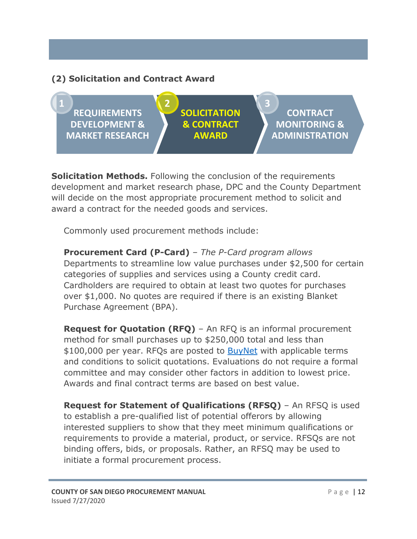#### <span id="page-14-0"></span>**(2) Solicitation and Contract Award**



<span id="page-14-1"></span>**Solicitation Methods.** Following the conclusion of the requirements development and market research phase, DPC and the County Department will decide on the most appropriate procurement method to solicit and award a contract for the needed goods and services.

Commonly used procurement methods include:

**Procurement Card (P-Card)** *– The P-Card program allows* Departments to streamline low value purchases under \$2,500 for certain categories of supplies and services using a County credit card. Cardholders are required to obtain at least two quotes for purchases over \$1,000. No quotes are required if there is an existing Blanket Purchase Agreement (BPA).

**Request for Quotation (RFQ)** – An RFQ is an informal procurement method for small purchases up to \$250,000 total and less than \$100,000 per year. RFQs are posted to **BuyNet** with applicable terms and conditions to solicit quotations. Evaluations do not require a formal committee and may consider other factors in addition to lowest price. Awards and final contract terms are based on best value.

**Request for Statement of Qualifications (RFSQ)** – An RFSQ is used to establish a pre-qualified list of potential offerors by allowing interested suppliers to show that they meet minimum qualifications or requirements to provide a material, product, or service. RFSQs are not binding offers, bids, or proposals. Rather, an RFSQ may be used to initiate a formal procurement process.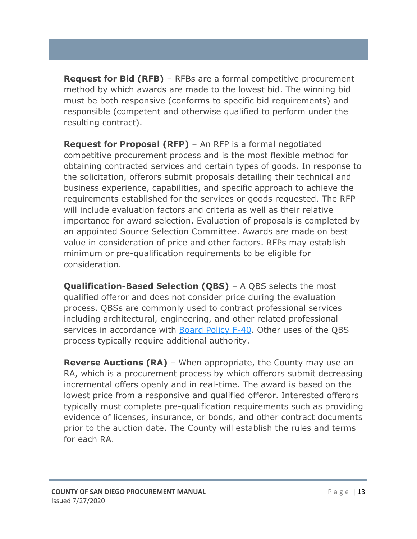**Request for Bid (RFB)** – RFBs are a formal competitive procurement method by which awards are made to the lowest bid. The winning bid must be both responsive (conforms to specific bid requirements) and responsible (competent and otherwise qualified to perform under the resulting contract).

**Request for Proposal (RFP)** – An RFP is a formal negotiated competitive procurement process and is the most flexible method for obtaining contracted services and certain types of goods. In response to the solicitation, offerors submit proposals detailing their technical and business experience, capabilities, and specific approach to achieve the requirements established for the services or goods requested. The RFP will include evaluation factors and criteria as well as their relative importance for award selection. Evaluation of proposals is completed by an appointed Source Selection Committee. Awards are made on best value in consideration of price and other factors. RFPs may establish minimum or pre-qualification requirements to be eligible for consideration.

**Qualification-Based Selection (QBS)** – A QBS selects the most qualified offeror and does not consider price during the evaluation process. QBSs are commonly used to contract professional services including architectural, engineering, and other related professional services in accordance with [Board Policy F-40.](https://www.sandiegocounty.gov/cob/docs/policy/F-40.pdf) Other uses of the QBS process typically require additional authority.

**Reverse Auctions (RA)** – When appropriate, the County may use an RA, which is a procurement process by which offerors submit decreasing incremental offers openly and in real-time. The award is based on the lowest price from a responsive and qualified offeror. Interested offerors typically must complete pre-qualification requirements such as providing evidence of licenses, insurance, or bonds, and other contract documents prior to the auction date. The County will establish the rules and terms for each RA.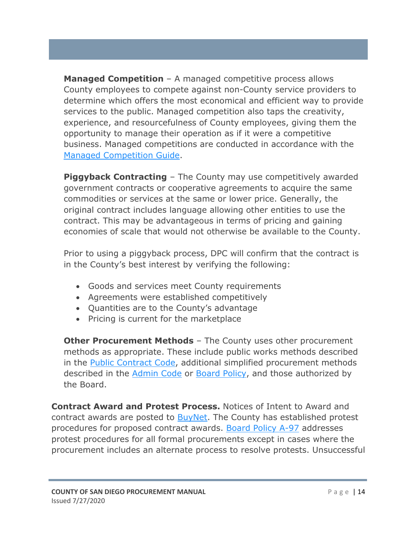**Managed Competition** – A managed competitive process allows County employees to compete against non-County service providers to determine which offers the most economical and efficient way to provide services to the public. Managed competition also taps the creativity, experience, and resourcefulness of County employees, giving them the opportunity to manage their operation as if it were a competitive business. Managed competitions are conducted in accordance with the [Managed Competition Guide.](http://insite.sdcounty.ca.gov/fg3/pc/Documents/dpc_mcg.pdf#search=managed%20competition)

**Piggyback Contracting** – The County may use competitively awarded government contracts or cooperative agreements to acquire the same commodities or services at the same or lower price. Generally, the original contract includes language allowing other entities to use the contract. This may be advantageous in terms of pricing and gaining economies of scale that would not otherwise be available to the County.

Prior to using a piggyback process, DPC will confirm that the contract is in the County's best interest by verifying the following:

- Goods and services meet County requirements
- Agreements were established competitively
- Quantities are to the County's advantage
- Pricing is current for the marketplace

**Other Procurement Methods** - The County uses other procurement methods as appropriate. These include public works methods described in the [Public Contract](https://leginfo.legislature.ca.gov/faces/codesTOCSelected.xhtml?tocCode=PCC&tocTitle=+Public+Contract+Code+-+PCC) Code, additional simplified procurement methods described in the [Admin Code](http://library.amlegal.com/nxt/gateway.dll?f=templates&fn=default.htm&vid=amlegal:sandiegoco_ca_mc) or [Board Policy,](https://www.sandiegocounty.gov/cob/policy/) and those authorized by the Board.

<span id="page-16-0"></span>**Contract Award and Protest Process.** Notices of Intent to Award and contract awards are posted to **BuyNet**. The County has established protest procedures for proposed contract awards. [Board Policy A-97](https://www.sandiegocounty.gov/cob/docs/policy/A-97.pdf) addresses protest procedures for all formal procurements except in cases where the procurement includes an alternate process to resolve protests. Unsuccessful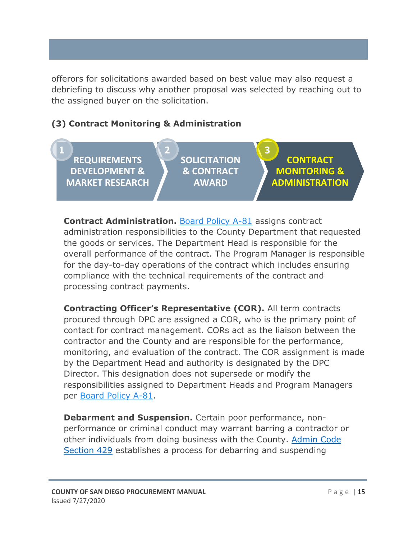offerors for solicitations awarded based on best value may also request a debriefing to discuss why another proposal was selected by reaching out to the assigned buyer on the solicitation.

#### <span id="page-17-0"></span>**(3) Contract Monitoring & Administration**

**REQUIREMENTS DEVELOPMENT & MARKET RESEARCH 1 2 3**

**SOLICITATION & CONTRACT AWARD**

**CONTRACT MONITORING & ADMINISTRATION**

<span id="page-17-1"></span>**Contract Administration.** [Board Policy A-81](https://www.sandiegocounty.gov/content/dam/sdc/cob/docs/policy/A-81.pdf) assigns contract administration responsibilities to the County Department that requested the goods or services. The Department Head is responsible for the overall performance of the contract. The Program Manager is responsible for the day-to-day operations of the contract which includes ensuring compliance with the technical requirements of the contract and processing contract payments.

<span id="page-17-2"></span>**Contracting Officer's Representative (COR).** All term contracts procured through DPC are assigned a COR, who is the primary point of contact for contract management. CORs act as the liaison between the contractor and the County and are responsible for the performance, monitoring, and evaluation of the contract. The COR assignment is made by the Department Head and authority is designated by the DPC Director. This designation does not supersede or modify the responsibilities assigned to Department Heads and Program Managers per [Board Policy A-81.](https://www.sandiegocounty.gov/content/dam/sdc/cob/docs/policy/A-81.pdf)

<span id="page-17-3"></span>**Debarment and Suspension.** Certain poor performance, nonperformance or criminal conduct may warrant barring a contractor or other individuals from doing business with the County. [Admin Code](http://library.amlegal.com/nxt/gateway.dll/California/sanadmin/articlexxiiidepartmentofpurchasingandcon?f=templates$fn=default.htm$3.0$vid=amlegal:sandiegoco_ca_mc)  [Section 429](http://library.amlegal.com/nxt/gateway.dll/California/sanadmin/articlexxiiidepartmentofpurchasingandcon?f=templates$fn=default.htm$3.0$vid=amlegal:sandiegoco_ca_mc) establishes a process for debarring and suspending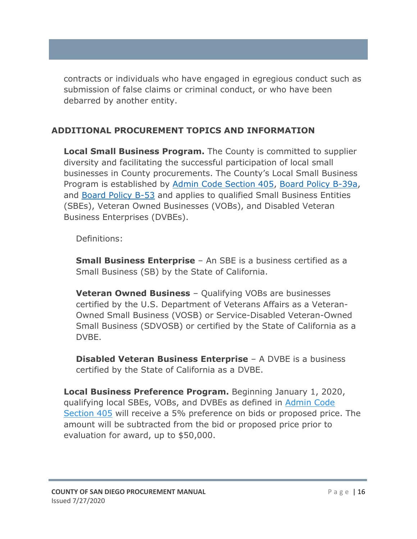contracts or individuals who have engaged in egregious conduct such as submission of false claims or criminal conduct, or who have been debarred by another entity.

#### <span id="page-18-0"></span>**ADDITIONAL PROCUREMENT TOPICS AND INFORMATION**

<span id="page-18-1"></span>**Local Small Business Program.** The County is committed to supplier diversity and facilitating the successful participation of local small businesses in County procurements. The County's Local Small Business Program is established by [Admin Code Section 405,](http://library.amlegal.com/nxt/gateway.dll/California/sanadmin/articlexxiiidepartmentofpurchasingandcon?f=templates$fn=default.htm$3.0$vid=amlegal:sandiegoco_ca_mc) [Board Policy B-39a,](https://www.sandiegocounty.gov/cob/docs/policy/B-39a.pdf) and [Board Policy B-53](https://www.sandiegocounty.gov/cob/docs/policy/B-53.pdf) and applies to qualified Small Business Entities (SBEs), Veteran Owned Businesses (VOBs), and Disabled Veteran Business Enterprises (DVBEs).

Definitions:

<span id="page-18-2"></span>**Small Business Enterprise** – An SBE is a business certified as a Small Business (SB) by the State of California.

<span id="page-18-3"></span>**Veteran Owned Business** – Qualifying VOBs are businesses certified by the U.S. Department of Veterans Affairs as a Veteran-Owned Small Business (VOSB) or Service-Disabled Veteran-Owned Small Business (SDVOSB) or certified by the State of California as a DVBE.

<span id="page-18-4"></span>**Disabled Veteran Business Enterprise** – A DVBE is a business certified by the State of California as a DVBE.

<span id="page-18-5"></span>**Local Business Preference Program.** Beginning January 1, 2020, qualifying local SBEs, VOBs, and DVBEs as defined in [Admin Code](http://library.amlegal.com/nxt/gateway.dll/California/sanadmin/articlexxiiidepartmentofpurchasingandcon?f=templates$fn=default.htm$3.0$vid=amlegal:sandiegoco_ca_mc)  [Section 405](http://library.amlegal.com/nxt/gateway.dll/California/sanadmin/articlexxiiidepartmentofpurchasingandcon?f=templates$fn=default.htm$3.0$vid=amlegal:sandiegoco_ca_mc) will receive a 5% preference on bids or proposed price. The amount will be subtracted from the bid or proposed price prior to evaluation for award, up to \$50,000.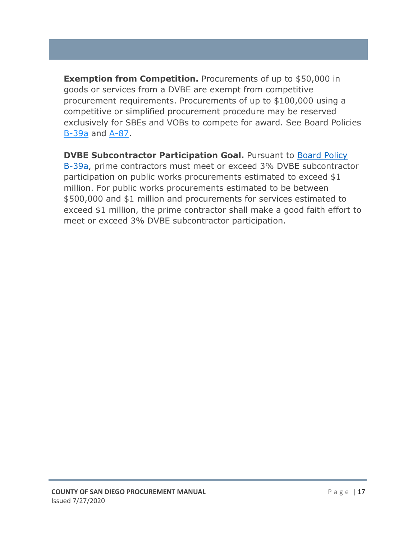<span id="page-19-0"></span>**Exemption from Competition.** Procurements of up to \$50,000 in goods or services from a DVBE are exempt from competitive procurement requirements. Procurements of up to \$100,000 using a competitive or simplified procurement procedure may be reserved exclusively for SBEs and VOBs to compete for award. See Board Policies [B-39a](https://www.sandiegocounty.gov/cob/docs/policy/B-39a.pdf) and [A-87.](https://www.sandiegocounty.gov/cob/docs/policy/A-87.pdf)

<span id="page-19-1"></span>**DVBE Subcontractor Participation Goal.** Pursuant to Board Policy [B-39a,](https://www.sandiegocounty.gov/cob/docs/policy/B-39a.pdf) prime contractors must meet or exceed 3% DVBE subcontractor participation on public works procurements estimated to exceed \$1 million. For public works procurements estimated to be between \$500,000 and \$1 million and procurements for services estimated to exceed \$1 million, the prime contractor shall make a good faith effort to meet or exceed 3% DVBE subcontractor participation.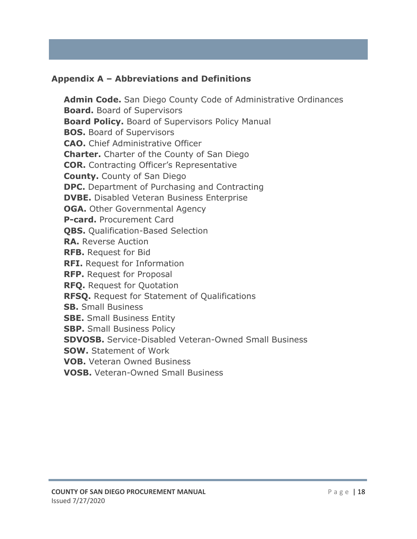#### <span id="page-20-0"></span>**Appendix A – Abbreviations and Definitions**

**Admin Code.** San Diego County Code of Administrative Ordinances **Board.** Board of Supervisors **Board Policy.** Board of Supervisors Policy Manual **BOS.** Board of Supervisors **CAO.** Chief Administrative Officer **Charter.** Charter of the County of San Diego **COR.** Contracting Officer's Representative **County.** County of San Diego **DPC.** Department of Purchasing and Contracting **DVBE.** Disabled Veteran Business Enterprise **OGA.** Other Governmental Agency **P-card.** Procurement Card **QBS.** Qualification-Based Selection **RA.** Reverse Auction **RFB.** Request for Bid **RFI.** Request for Information **RFP.** Request for Proposal **RFQ.** Request for Quotation **RFSQ.** Request for Statement of Qualifications **SB.** Small Business **SBE.** Small Business Entity **SBP.** Small Business Policy **SDVOSB.** Service-Disabled Veteran-Owned Small Business **SOW.** Statement of Work **VOB.** Veteran Owned Business **VOSB.** Veteran-Owned Small Business